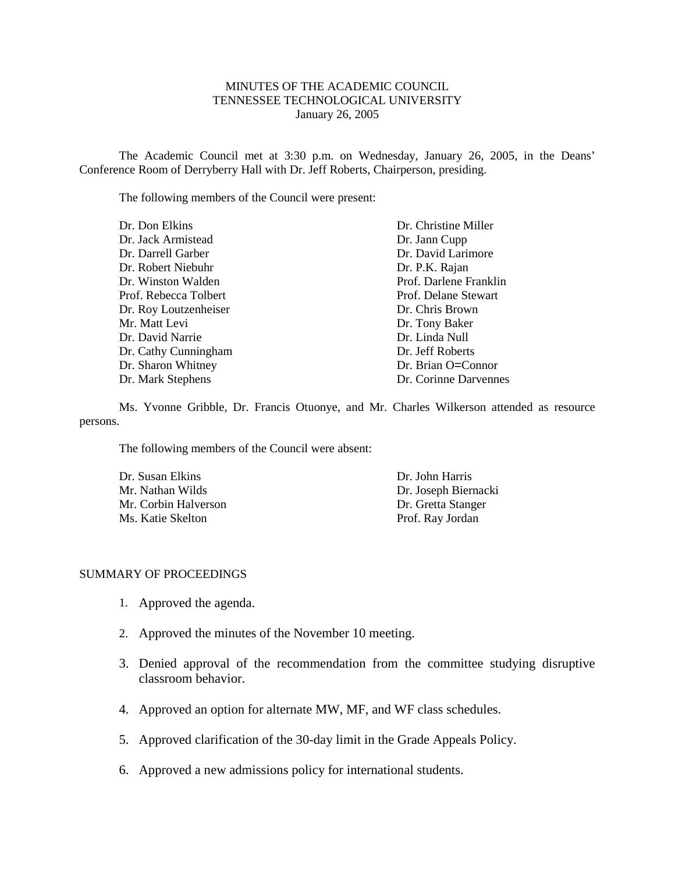#### MINUTES OF THE ACADEMIC COUNCIL TENNESSEE TECHNOLOGICAL UNIVERSITY January 26, 2005

The Academic Council met at 3:30 p.m. on Wednesday, January 26, 2005, in the Deans' Conference Room of Derryberry Hall with Dr. Jeff Roberts, Chairperson, presiding.

The following members of the Council were present:

| Dr. Don Elkins        | Dr. Christine Miller   |
|-----------------------|------------------------|
| Dr. Jack Armistead    | Dr. Jann Cupp          |
| Dr. Darrell Garber    | Dr. David Larimore     |
| Dr. Robert Niebuhr    | Dr. P.K. Rajan         |
| Dr. Winston Walden    | Prof. Darlene Franklin |
| Prof. Rebecca Tolbert | Prof. Delane Stewart   |
| Dr. Roy Loutzenheiser | Dr. Chris Brown        |
| Mr. Matt Levi         | Dr. Tony Baker         |
| Dr. David Narrie      | Dr. Linda Null         |
| Dr. Cathy Cunningham  | Dr. Jeff Roberts       |
| Dr. Sharon Whitney    | Dr. Brian O=Connor     |
| Dr. Mark Stephens     | Dr. Corinne Darvennes  |

Ms. Yvonne Gribble, Dr. Francis Otuonye, and Mr. Charles Wilkerson attended as resource persons.

The following members of the Council were absent:

| Dr. Susan Elkins     | Dr. John Harris      |
|----------------------|----------------------|
| Mr. Nathan Wilds     | Dr. Joseph Biernacki |
| Mr. Corbin Halverson | Dr. Gretta Stanger   |
| Ms. Katie Skelton    | Prof. Ray Jordan     |

#### SUMMARY OF PROCEEDINGS

- 1. Approved the agenda.
- 2. Approved the minutes of the November 10 meeting.
- 3. Denied approval of the recommendation from the committee studying disruptive classroom behavior.
- 4. Approved an option for alternate MW, MF, and WF class schedules.
- 5. Approved clarification of the 30-day limit in the Grade Appeals Policy.
- 6. Approved a new admissions policy for international students.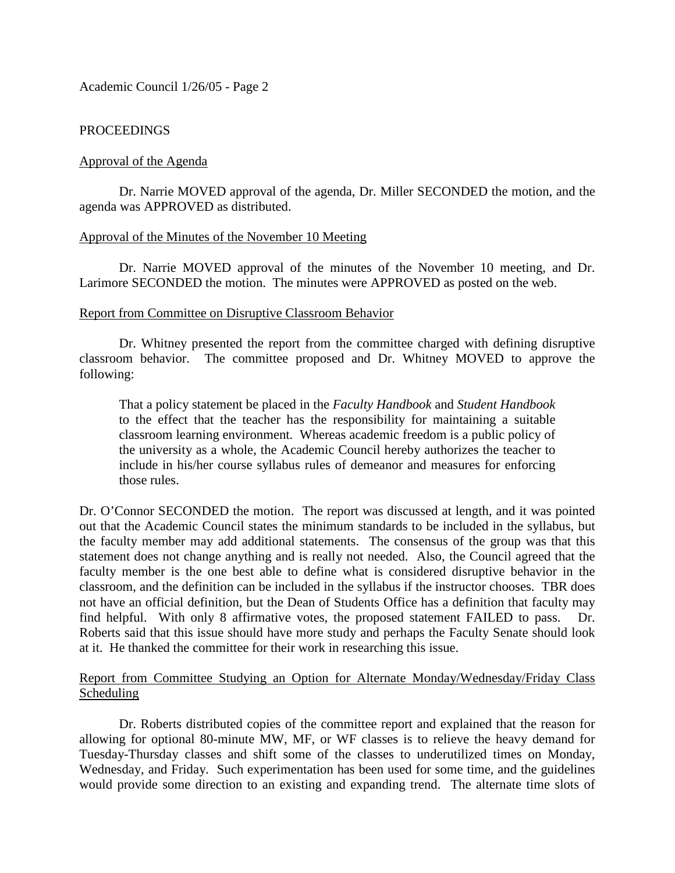Academic Council 1/26/05 - Page 2

# PROCEEDINGS

# Approval of the Agenda

Dr. Narrie MOVED approval of the agenda, Dr. Miller SECONDED the motion, and the agenda was APPROVED as distributed.

### Approval of the Minutes of the November 10 Meeting

Dr. Narrie MOVED approval of the minutes of the November 10 meeting, and Dr. Larimore SECONDED the motion. The minutes were APPROVED as posted on the web.

# Report from Committee on Disruptive Classroom Behavior

Dr. Whitney presented the report from the committee charged with defining disruptive classroom behavior. The committee proposed and Dr. Whitney MOVED to approve the following:

That a policy statement be placed in the *Faculty Handbook* and *Student Handbook* to the effect that the teacher has the responsibility for maintaining a suitable classroom learning environment. Whereas academic freedom is a public policy of the university as a whole, the Academic Council hereby authorizes the teacher to include in his/her course syllabus rules of demeanor and measures for enforcing those rules.

Dr. O'Connor SECONDED the motion. The report was discussed at length, and it was pointed out that the Academic Council states the minimum standards to be included in the syllabus, but the faculty member may add additional statements. The consensus of the group was that this statement does not change anything and is really not needed. Also, the Council agreed that the faculty member is the one best able to define what is considered disruptive behavior in the classroom, and the definition can be included in the syllabus if the instructor chooses. TBR does not have an official definition, but the Dean of Students Office has a definition that faculty may find helpful. With only 8 affirmative votes, the proposed statement FAILED to pass. Dr. Roberts said that this issue should have more study and perhaps the Faculty Senate should look at it. He thanked the committee for their work in researching this issue.

# Report from Committee Studying an Option for Alternate Monday/Wednesday/Friday Class **Scheduling**

Dr. Roberts distributed copies of the committee report and explained that the reason for allowing for optional 80-minute MW, MF, or WF classes is to relieve the heavy demand for Tuesday-Thursday classes and shift some of the classes to underutilized times on Monday, Wednesday, and Friday. Such experimentation has been used for some time, and the guidelines would provide some direction to an existing and expanding trend. The alternate time slots of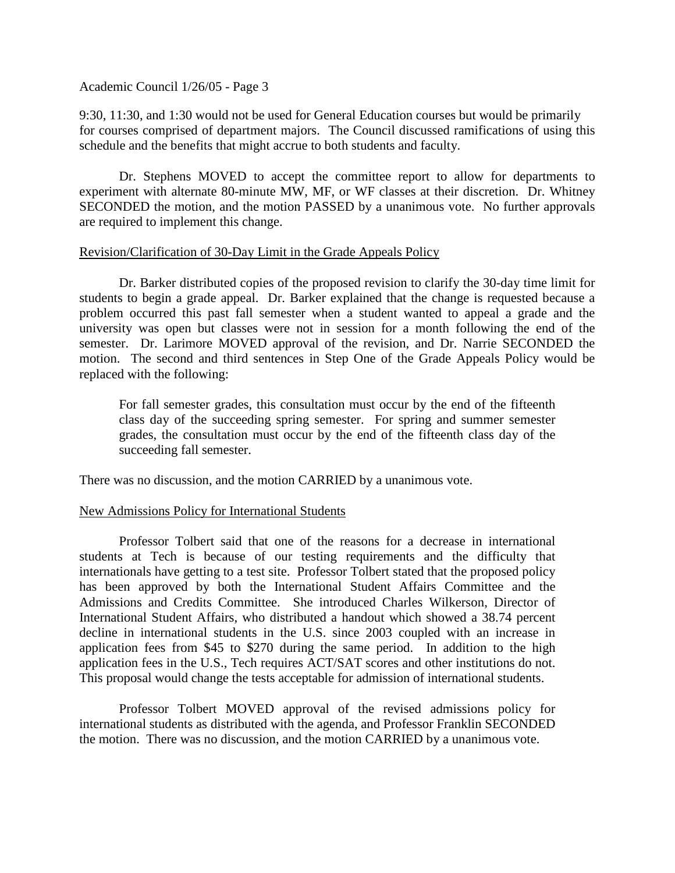### Academic Council 1/26/05 - Page 3

9:30, 11:30, and 1:30 would not be used for General Education courses but would be primarily for courses comprised of department majors. The Council discussed ramifications of using this schedule and the benefits that might accrue to both students and faculty.

Dr. Stephens MOVED to accept the committee report to allow for departments to experiment with alternate 80-minute MW, MF, or WF classes at their discretion. Dr. Whitney SECONDED the motion, and the motion PASSED by a unanimous vote. No further approvals are required to implement this change.

# Revision/Clarification of 30-Day Limit in the Grade Appeals Policy

Dr. Barker distributed copies of the proposed revision to clarify the 30-day time limit for students to begin a grade appeal. Dr. Barker explained that the change is requested because a problem occurred this past fall semester when a student wanted to appeal a grade and the university was open but classes were not in session for a month following the end of the semester. Dr. Larimore MOVED approval of the revision, and Dr. Narrie SECONDED the motion. The second and third sentences in Step One of the Grade Appeals Policy would be replaced with the following:

For fall semester grades, this consultation must occur by the end of the fifteenth class day of the succeeding spring semester. For spring and summer semester grades, the consultation must occur by the end of the fifteenth class day of the succeeding fall semester.

There was no discussion, and the motion CARRIED by a unanimous vote.

### New Admissions Policy for International Students

Professor Tolbert said that one of the reasons for a decrease in international students at Tech is because of our testing requirements and the difficulty that internationals have getting to a test site. Professor Tolbert stated that the proposed policy has been approved by both the International Student Affairs Committee and the Admissions and Credits Committee. She introduced Charles Wilkerson, Director of International Student Affairs, who distributed a handout which showed a 38.74 percent decline in international students in the U.S. since 2003 coupled with an increase in application fees from \$45 to \$270 during the same period. In addition to the high application fees in the U.S., Tech requires ACT/SAT scores and other institutions do not. This proposal would change the tests acceptable for admission of international students.

Professor Tolbert MOVED approval of the revised admissions policy for international students as distributed with the agenda, and Professor Franklin SECONDED the motion. There was no discussion, and the motion CARRIED by a unanimous vote.